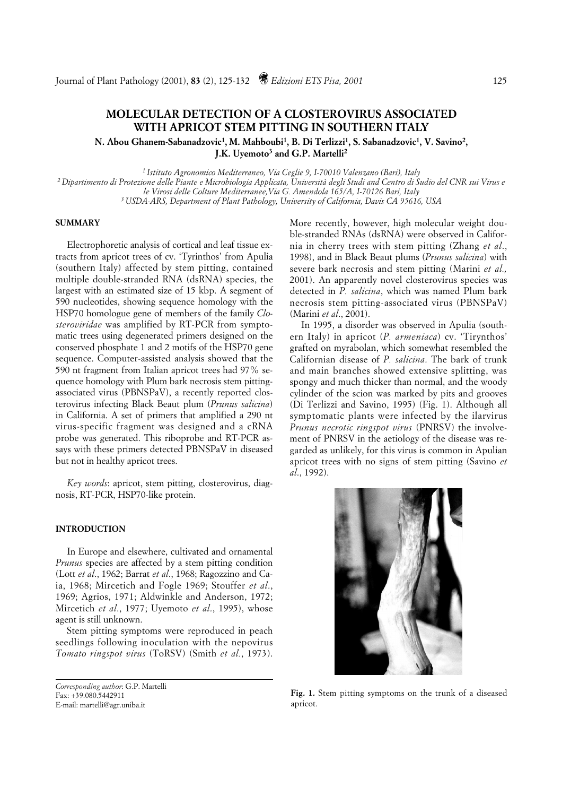# **MOLECULAR DETECTION OF A CLOSTEROVIRUS ASSOCIATED WITH APRICOT STEM PITTING IN SOUTHERN ITALY**

**N. Abou Ghanem-Sabanadzovic1, M. Mahboubi1, B. Di Terlizzi1, S. Sabanadzovic1, V. Savino2, J.K. Uyemoto3 and G.P. Martelli2**

*1 Istituto Agronomico Mediterraneo, Via Ceglie 9, I-70010 Valenzano (Bari), Italy*

*2 Dipartimento di Protezione delle Piante e Microbiologia Applicata, Università degli Studi and Centro di Sudio del CNR sui Virus e le Virosi delle Colture Mediterranee,Via G. Amendola 165/A, I-70126 Bari, Italy*

*3 USDA-ARS, Department of Plant Pathology, University of California, Davis CA 95616, USA*

#### **SUMMARY**

Electrophoretic analysis of cortical and leaf tissue extracts from apricot trees of cv. 'Tyrinthos' from Apulia (southern Italy) affected by stem pitting, contained multiple double-stranded RNA (dsRNA) species, the largest with an estimated size of 15 kbp. A segment of 590 nucleotides, showing sequence homology with the HSP70 homologue gene of members of the family *Closteroviridae* was amplified by RT-PCR from symptomatic trees using degenerated primers designed on the conserved phosphate 1 and 2 motifs of the HSP70 gene sequence. Computer-assisted analysis showed that the 590 nt fragment from Italian apricot trees had 97% sequence homology with Plum bark necrosis stem pittingassociated virus (PBNSPaV), a recently reported closterovirus infecting Black Beaut plum (*Prunus salicina*) in California. A set of primers that amplified a 290 nt virus-specific fragment was designed and a cRNA probe was generated. This riboprobe and RT-PCR assays with these primers detected PBNSPaV in diseased but not in healthy apricot trees.

*Key words*: apricot, stem pitting, closterovirus, diagnosis, RT-PCR, HSP70-like protein.

## **INTRODUCTION**

In Europe and elsewhere, cultivated and ornamental *Prunus* species are affected by a stem pitting condition (Lott *et al*., 1962; Barrat *et al*., 1968; Ragozzino and Caia, 1968; Mircetich and Fogle 1969; Stouffer *et al*., 1969; Agrios, 1971; Aldwinkle and Anderson, 1972; Mircetich *et al*., 1977; Uyemoto *et al*., 1995), whose agent is still unknown.

Stem pitting symptoms were reproduced in peach seedlings following inoculation with the nepovirus *Tomato ringspot virus* (ToRSV) (Smith *et al.*, 1973).

More recently, however, high molecular weight double-stranded RNAs (dsRNA) were observed in California in cherry trees with stem pitting (Zhang *et al*., 1998), and in Black Beaut plums (*Prunus salicina*) with severe bark necrosis and stem pitting (Marini *et al.,* 2001). An apparently novel closterovirus species was detected in *P. salicina*, which was named Plum bark necrosis stem pitting-associated virus (PBNSPaV) (Marini *et al*., 2001).

In 1995, a disorder was observed in Apulia (southern Italy) in apricot (*P. armeniaca*) cv. 'Tirynthos' grafted on myrabolan, which somewhat resembled the Californian disease of *P. salicina*. The bark of trunk and main branches showed extensive splitting, was spongy and much thicker than normal, and the woody cylinder of the scion was marked by pits and grooves (Di Terlizzi and Savino, 1995) (Fig. 1). Although all symptomatic plants were infected by the ilarvirus *Prunus necrotic ringspot virus* (PNRSV) the involvement of PNRSV in the aetiology of the disease was regarded as unlikely, for this virus is common in Apulian apricot trees with no signs of stem pitting (Savino *et al*., 1992).



**Fig. 1.** Stem pitting symptoms on the trunk of a diseased apricot.

*Corresponding author*: G.P. Martelli Fax: +39.080.5442911 E-mail: martelli@agr.uniba.it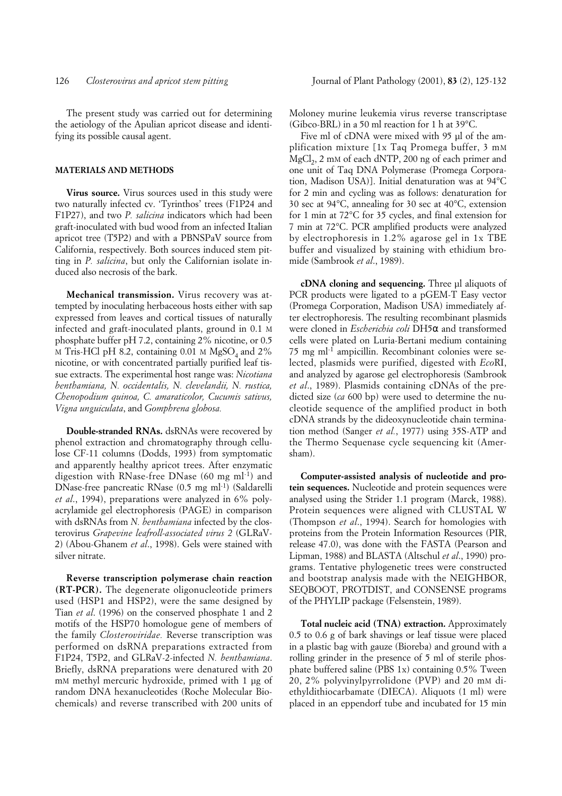The present study was carried out for determining the aetiology of the Apulian apricot disease and identifying its possible causal agent.

## **MATERIALS AND METHODS**

**Virus source.** Virus sources used in this study were two naturally infected cv. 'Tyrinthos' trees (F1P24 and F1P27), and two *P. salicina* indicators which had been graft-inoculated with bud wood from an infected Italian apricot tree (T5P2) and with a PBNSPaV source from California, respectively. Both sources induced stem pitting in *P. salicina*, but only the Californian isolate induced also necrosis of the bark.

**Mechanical transmission.** Virus recovery was attempted by inoculating herbaceous hosts either with sap expressed from leaves and cortical tissues of naturally infected and graft-inoculated plants, ground in 0.1 M phosphate buffer pH 7.2, containing 2% nicotine, or 0.5 M Tris-HCl pH 8.2, containing  $0.01$  M MgSO<sub>4</sub> and  $2\%$ nicotine, or with concentrated partially purified leaf tissue extracts. The experimental host range was: *Nicotiana benthamiana, N. occidentalis, N. clevelandii, N. rustica, Chenopodium quinoa, C. amaraticolor, Cucumis sativus, Vigna unguiculata*, and *Gomphrena globosa.* 

**Double-stranded RNAs.** dsRNAs were recovered by phenol extraction and chromatography through cellulose CF-11 columns (Dodds, 1993) from symptomatic and apparently healthy apricot trees. After enzymatic digestion with RNase-free DNase (60 mg ml<sup>-1</sup>) and DNase-free pancreatic RNase (0.5 mg ml<sup>-1</sup>) (Saldarelli *et al*., 1994), preparations were analyzed in 6% polyacrylamide gel electrophoresis (PAGE) in comparison with dsRNAs from *N. benthamiana* infected by the closterovirus *Grapevine leafroll-associated virus 2* (GLRaV-2) (Abou-Ghanem *et al*., 1998). Gels were stained with silver nitrate.

**Reverse transcription polymerase chain reaction (RT-PCR).** The degenerate oligonucleotide primers used (HSP1 and HSP2), were the same designed by Tian *et al*. (1996) on the conserved phosphate 1 and 2 motifs of the HSP70 homologue gene of members of the family *Closteroviridae.* Reverse transcription was performed on dsRNA preparations extracted from F1P24, T5P2, and GLRaV-2-infected *N. benthamiana*. Briefly, dsRNA preparations were denatured with 20 mM methyl mercuric hydroxide, primed with 1 μg of random DNA hexanucleotides (Roche Molecular Biochemicals) and reverse transcribed with 200 units of Moloney murine leukemia virus reverse transcriptase (Gibco-BRL) in a 50 ml reaction for 1 h at 39°C.

Five ml of cDNA were mixed with 95 µl of the amplification mixture [1x Taq Promega buffer, 3 mM  $MgCl<sub>2</sub>$ , 2 mM of each dNTP, 200 ng of each primer and one unit of Taq DNA Polymerase (Promega Corporation, Madison USA)]. Initial denaturation was at 94°C for 2 min and cycling was as follows: denaturation for 30 sec at 94°C, annealing for 30 sec at 40°C, extension for 1 min at 72°C for 35 cycles, and final extension for 7 min at 72°C. PCR amplified products were analyzed by electrophoresis in 1.2% agarose gel in 1x TBE buffer and visualized by staining with ethidium bromide (Sambrook *et al*., 1989).

**cDNA** cloning and sequencing. Three µl aliquots of PCR products were ligated to a pGEM-T Easy vector (Promega Corporation, Madison USA) immediately after electrophoresis. The resulting recombinant plasmids were cloned in *Escherichia coli* DH5α and transformed cells were plated on Luria-Bertani medium containing 75 mg ml-1 ampicillin. Recombinant colonies were selected, plasmids were purified, digested with *Eco*RI, and analyzed by agarose gel electrophoresis (Sambrook *et al*., 1989). Plasmids containing cDNAs of the predicted size (*ca* 600 bp) were used to determine the nucleotide sequence of the amplified product in both cDNA strands by the dideoxynucleotide chain termination method (Sanger *et al.*, 1977) using 35S-ATP and the Thermo Sequenase cycle sequencing kit (Amersham).

**Computer-assisted analysis of nucleotide and protein sequences.** Nucleotide and protein sequences were analysed using the Strider 1.1 program (Marck, 1988). Protein sequences were aligned with CLUSTAL W (Thompson *et al*., 1994). Search for homologies with proteins from the Protein Information Resources (PIR, release 47.0), was done with the FASTA (Pearson and Lipman, 1988) and BLASTA (Altschul *et al*., 1990) programs. Tentative phylogenetic trees were constructed and bootstrap analysis made with the NEIGHBOR, SEQBOOT, PROTDIST, and CONSENSE programs of the PHYLIP package (Felsenstein, 1989).

**Total nucleic acid (TNA) extraction.** Approximately 0.5 to 0.6 g of bark shavings or leaf tissue were placed in a plastic bag with gauze (Bioreba) and ground with a rolling grinder in the presence of 5 ml of sterile phosphate buffered saline (PBS 1x) containing 0.5% Tween 20, 2% polyvinylpyrrolidone (PVP) and 20 mM diethyldithiocarbamate (DIECA). Aliquots (1 ml) were placed in an eppendorf tube and incubated for 15 min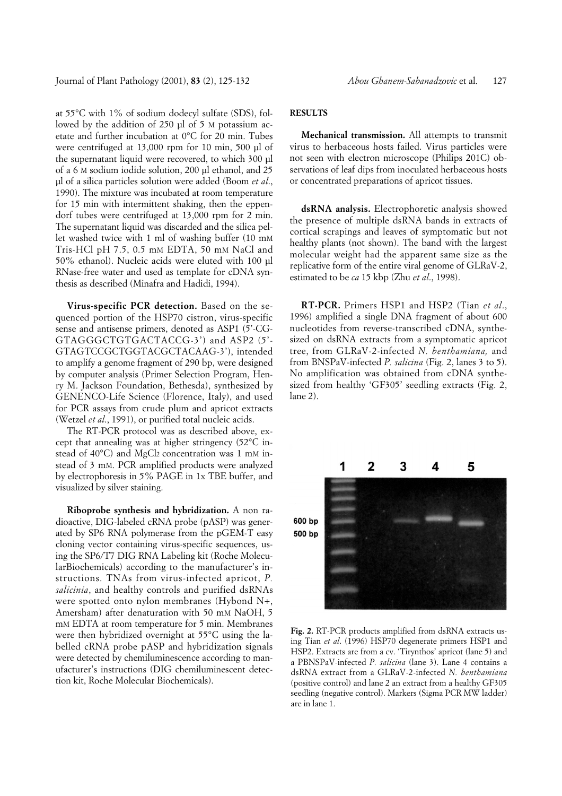Journal of Plant Pathology (2001), **83** (2), 125-132 *Abou Ghanem-Sabanadzovic* et al. 127

at 55°C with 1% of sodium dodecyl sulfate (SDS), followed by the addition of 250 ul of 5 M potassium acetate and further incubation at 0°C for 20 min. Tubes were centrifuged at 13,000 rpm for 10 min, 500 µl of the supernatant liquid were recovered, to which 300 µl of a 6 M sodium iodide solution, 200 µl ethanol, and 25 µl of a silica particles solution were added (Boom *et al*., 1990). The mixture was incubated at room temperature for 15 min with intermittent shaking, then the eppendorf tubes were centrifuged at 13,000 rpm for 2 min. The supernatant liquid was discarded and the silica pellet washed twice with 1 ml of washing buffer (10 mM Tris-HCl pH 7.5, 0.5 mM EDTA, 50 mM NaCl and 50% ethanol). Nucleic acids were eluted with 100 µl RNase-free water and used as template for cDNA synthesis as described (Minafra and Hadidi, 1994).

**Virus-specific PCR detection.** Based on the sequenced portion of the HSP70 cistron, virus-specific sense and antisense primers, denoted as ASP1 (5'-CG-GTAGGGCTGTGACTACCG-3') and ASP2 (5'- GTAGTCCGCTGGTACGCTACAAG-3'), intended to amplify a genome fragment of 290 bp, were designed by computer analysis (Primer Selection Program, Henry M. Jackson Foundation, Bethesda), synthesized by GENENCO-Life Science (Florence, Italy), and used for PCR assays from crude plum and apricot extracts (Wetzel *et al*., 1991), or purified total nucleic acids.

The RT-PCR protocol was as described above, except that annealing was at higher stringency (52°C instead of 40°C) and MgCl2 concentration was 1 mM instead of 3 mM. PCR amplified products were analyzed by electrophoresis in 5% PAGE in 1x TBE buffer, and visualized by silver staining.

**Riboprobe synthesis and hybridization.** A non radioactive, DIG-labeled cRNA probe (pASP) was generated by SP6 RNA polymerase from the pGEM-T easy cloning vector containing virus-specific sequences, using the SP6/T7 DIG RNA Labeling kit (Roche MolecularBiochemicals) according to the manufacturer's instructions. TNAs from virus-infected apricot, *P. salicinia*, and healthy controls and purified dsRNAs were spotted onto nylon membranes (Hybond N+, Amersham) after denaturation with 50 mM NaOH, 5 mM EDTA at room temperature for 5 min. Membranes were then hybridized overnight at 55°C using the labelled cRNA probe pASP and hybridization signals were detected by chemiluminescence according to manufacturer's instructions (DIG chemiluminescent detection kit, Roche Molecular Biochemicals).

# **RESULTS**

**Mechanical transmission.** All attempts to transmit virus to herbaceous hosts failed. Virus particles were not seen with electron microscope (Philips 201C) observations of leaf dips from inoculated herbaceous hosts or concentrated preparations of apricot tissues.

**dsRNA analysis.** Electrophoretic analysis showed the presence of multiple dsRNA bands in extracts of cortical scrapings and leaves of symptomatic but not healthy plants (not shown). The band with the largest molecular weight had the apparent same size as the replicative form of the entire viral genome of GLRaV-2, estimated to be *ca* 15 kbp (Zhu *et al*., 1998).

**RT-PCR.** Primers HSP1 and HSP2 (Tian *et al*., 1996) amplified a single DNA fragment of about 600 nucleotides from reverse-transcribed cDNA, synthesized on dsRNA extracts from a symptomatic apricot tree, from GLRaV-2-infected *N. benthamiana,* and from BNSPaV-infected *P. salicina* (Fig. 2, lanes 3 to 5). No amplification was obtained from cDNA synthesized from healthy 'GF305' seedling extracts (Fig. 2, lane 2).



**Fig. 2.** RT-PCR products amplified from dsRNA extracts using Tian *et al*. (1996) HSP70 degenerate primers HSP1 and HSP2. Extracts are from a cv. 'Tirynthos' apricot (lane 5) and a PBNSPaV-infected *P. salicina* (lane 3). Lane 4 contains a dsRNA extract from a GLRaV-2-infected *N. benthamiana* (positive control) and lane 2 an extract from a healthy GF305 seedling (negative control). Markers (Sigma PCR MW ladder) are in lane 1.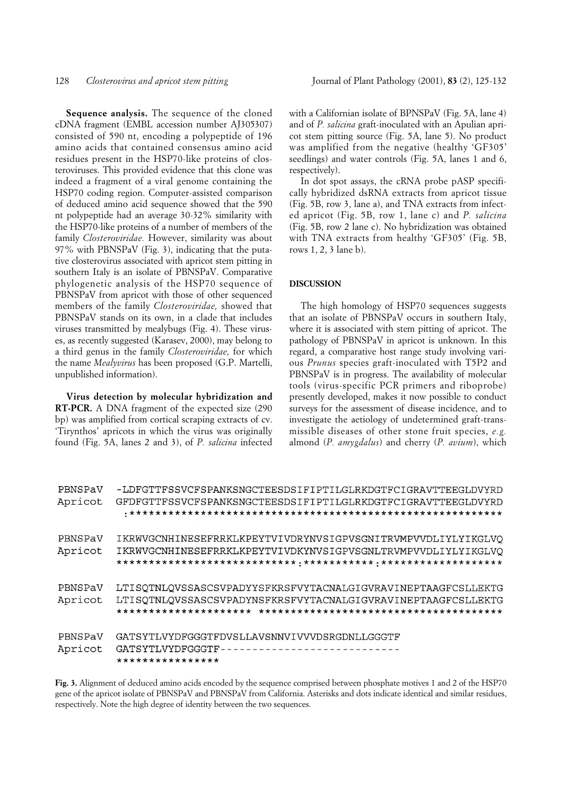**Sequence analysis.** The sequence of the cloned cDNA fragment (EMBL accession number AJ305307) consisted of 590 nt, encoding a polypeptide of 196 amino acids that contained consensus amino acid residues present in the HSP70-like proteins of closteroviruses. This provided evidence that this clone was indeed a fragment of a viral genome containing the HSP70 coding region. Computer-assisted comparison of deduced amino acid sequence showed that the 590 nt polypeptide had an average 30-32% similarity with the HSP70-like proteins of a number of members of the family *Closteroviridae.* However, similarity was about 97% with PBNSPaV (Fig. 3), indicating that the putative closterovirus associated with apricot stem pitting in southern Italy is an isolate of PBNSPaV. Comparative phylogenetic analysis of the HSP70 sequence of PBNSPaV from apricot with those of other sequenced members of the family *Closteroviridae,* showed that PBNSPaV stands on its own, in a clade that includes viruses transmitted by mealybugs (Fig. 4). These viruses, as recently suggested (Karasev, 2000), may belong to a third genus in the family *Closteroviridae,* for which the name *Mealyvirus* has been proposed (G.P. Martelli, unpublished information).

**Virus detection by molecular hybridization and RT-PCR.** A DNA fragment of the expected size (290 bp) was amplified from cortical scraping extracts of cv. 'Tirynthos' apricots in which the virus was originally found (Fig. 5A, lanes 2 and 3), of *P. salicina* infected

with a Californian isolate of BPNSPaV (Fig. 5A, lane 4) and of *P. salicina* graft-inoculated with an Apulian apricot stem pitting source (Fig. 5A, lane 5). No product was amplified from the negative (healthy 'GF305' seedlings) and water controls (Fig. 5A, lanes 1 and 6, respectively).

In dot spot assays, the cRNA probe pASP specifically hybridized dsRNA extracts from apricot tissue (Fig. 5B, row 3, lane a), and TNA extracts from infected apricot (Fig. 5B, row 1, lane c) and *P. salicina* (Fig. 5B, row 2 lane c). No hybridization was obtained with TNA extracts from healthy 'GF305' (Fig. 5B, rows 1, 2, 3 lane b).

#### **DISCUSSION**

The high homology of HSP70 sequences suggests that an isolate of PBNSPaV occurs in southern Italy, where it is associated with stem pitting of apricot. The pathology of PBNSPaV in apricot is unknown. In this regard, a comparative host range study involving various *Prunus* species graft-inoculated with T5P2 and PBNSPaV is in progress. The availability of molecular tools (virus-specific PCR primers and riboprobe) presently developed, makes it now possible to conduct surveys for the assessment of disease incidence, and to investigate the aetiology of undetermined graft-transmissible diseases of other stone fruit species, *e.g.* almond (*P. amygdalus*) and cherry (*P. avium*), which

| -LDFGTTFSSVCFSPANKSNGCTEESDSIFIPTILGLRKDGTFCIGRAVTTEEGLDVYRD |
|--------------------------------------------------------------|
| GFDFGTTFSSVCFSPANKSNGCTEESDSIFIPTILGLRKDGTFCIGRAVTTEEGLDVYRD |
|                                                              |
|                                                              |
| IKRWVGCNHINESEFRRKLKPEYTVIVDRYNVSIGPVSGNITRVMPVVDLIYLYIKGLVO |
| IKRWVGCNHINESEFRRKLKPEYTVIVDKYNVSIGPVSGNLTRVMPVVDLIYLYIKGLVQ |
|                                                              |
|                                                              |
| LTISOTNLOVSSASCSVPADYYSFKRSFVYTACNALGIGVRAVINEPTAAGFCSLLEKTG |
| LTISQTNLQVSSASCSVPADYNSFKRSFVYTACNALGIGVRAVINEPTAAGFCSLLEKTG |
|                                                              |
|                                                              |
| GATSYTLVYDFGGGTFDVSLLAVSNNVIVVVDSRGDNLLGGGTF                 |
| GATSYTLVYDFGGGTF-----------------------------                |
| ****************                                             |
|                                                              |

**Fig. 3.** Alignment of deduced amino acids encoded by the sequence comprised between phosphate motives 1 and 2 of the HSP70 gene of the apricot isolate of PBNSPaV and PBNSPaV from California. Asterisks and dots indicate identical and similar residues, respectively. Note the high degree of identity between the two sequences.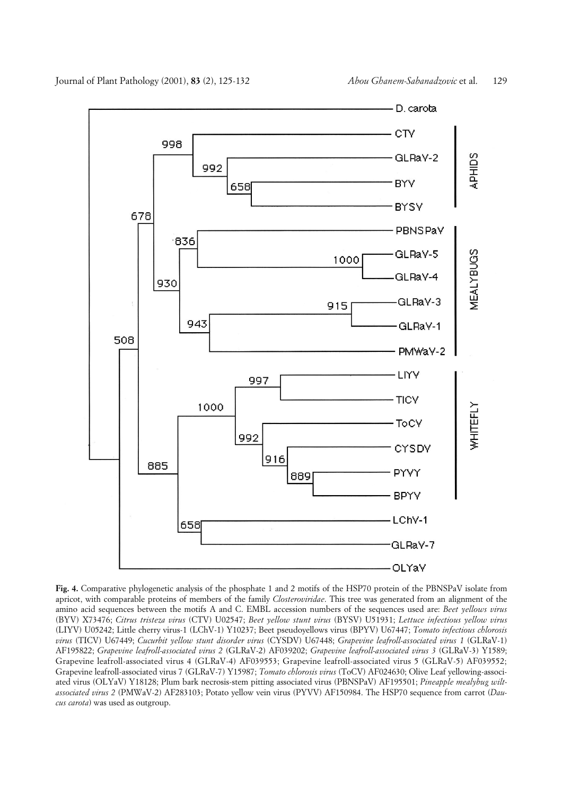

**Fig. 4.** Comparative phylogenetic analysis of the phosphate 1 and 2 motifs of the HSP70 protein of the PBNSPaV isolate from apricot, with comparable proteins of members of the family *Closteroviridae*. This tree was generated from an alignment of the amino acid sequences between the motifs A and C. EMBL accession numbers of the sequences used are: *Beet yellows virus* (BYV) X73476; *Citrus tristeza virus* (CTV) U02547; *Beet yellow stunt virus* (BYSV) U51931; *Lettuce infectious yellow virus* (LIYV) U05242; Little cherry virus-1 (LChV-1) Y10237; Beet pseudoyellows virus (BPYV) U67447; *Tomato infectious chlorosis virus* (TICV) U67449; *Cucurbit yellow stunt disorder virus* (CYSDV) U67448; *Grapevine leafroll-associated virus 1* (GLRaV-1) AF195822; *Grapevine leafroll-associated virus 2* (GLRaV-2) AF039202; *Grapevine leafroll-associated virus 3* (GLRaV-3) Y1589; Grapevine leafroll-associated virus 4 (GLRaV-4) AF039553; Grapevine leafroll-associated virus 5 (GLRaV-5) AF039552; Grapevine leafroll-associated virus 7 (GLRaV-7) Y15987; *Tomato chlorosis virus* (ToCV) AF024630; Olive Leaf yellowing-associated virus (OLYaV) Y18128; Plum bark necrosis-stem pitting associated virus (PBNSPaV) AF195501; *Pineapple mealybug wiltassociated virus 2* (PMWaV-2) AF283103; Potato yellow vein virus (PYVV) AF150984. The HSP70 sequence from carrot (*Daucus carota*) was used as outgroup.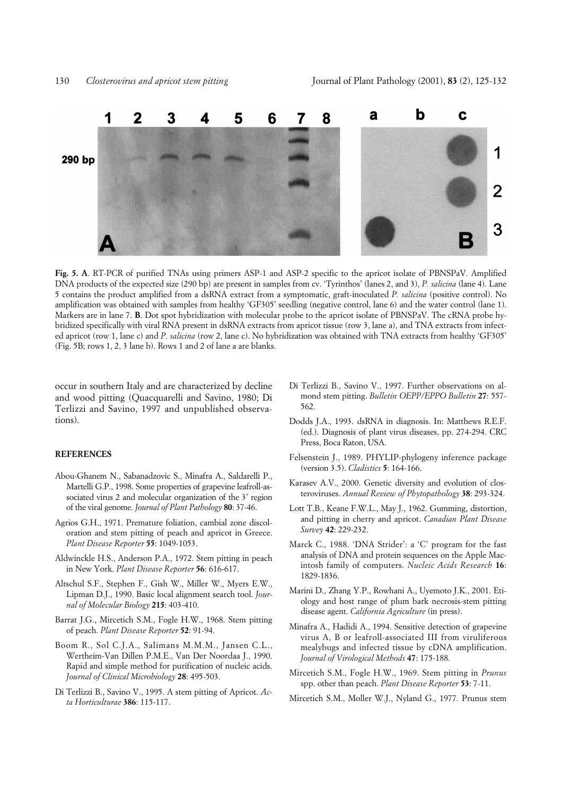

**Fig. 5. A**. RT-PCR of purified TNAs using primers ASP-1 and ASP-2 specific to the apricot isolate of PBNSPaV. Amplified DNA products of the expected size (290 bp) are present in samples from cv. 'Tyrinthos' (lanes 2, and 3), *P. salicina* (lane 4). Lane 5 contains the product amplified from a dsRNA extract from a symptomatic, graft-inoculated *P. salicina* (positive control). No amplification was obtained with samples from healthy 'GF305' seedling (negative control, lane 6) and the water control (lane 1). Markers are in lane 7. **B**. Dot spot hybridization with molecular probe to the apricot isolate of PBNSPaV. The cRNA probe hybridized specifically with viral RNA present in dsRNA extracts from apricot tissue (row 3, lane a), and TNA extracts from infected apricot (row 1, lane c) and *P. salicina* (row 2, lane c). No hybridization was obtained with TNA extracts from healthy 'GF305' (Fig. 5B; rows 1, 2, 3 lane b). Rows 1 and 2 of lane a are blanks.

occur in southern Italy and are characterized by decline and wood pitting (Quacquarelli and Savino, 1980; Di Terlizzi and Savino, 1997 and unpublished observations).

#### **REFERENCES**

- Abou-Ghanem N., Sabanadzovic S., Minafra A., Saldarelli P., Martelli G.P., 1998. Some properties of grapevine leafroll-associated virus 2 and molecular organization of the 3' region of the viral genome. *Journal of Plant Pathology* **80**: 37-46.
- Agrios G.H., 1971. Premature foliation, cambial zone discoloration and stem pitting of peach and apricot in Greece. *Plant Disease Reporter* **55**: 1049-1053.
- Aldwinckle H.S., Anderson P.A., 1972. Stem pitting in peach in New York. *Plant Disease Reporter* **56**: 616-617.
- Altschul S.F., Stephen F., Gish W., Miller W., Myers E.W., Lipman D.J., 1990. Basic local alignment search tool. *Journal of Molecular Biology* **215**: 403-410.
- Barrat J.G., Mircetich S.M., Fogle H.W., 1968. Stem pitting of peach. *Plant Disease Reporter* **52**: 91-94.
- Boom R., Sol C.J.A., Salimans M.M.M., Jansen C.L., Wertheim-Van Dillen P.M.E., Van Der Noordaa J., 1990. Rapid and simple method for purification of nucleic acids. *Journal of Clinical Microbiology* **28**: 495-503.
- Di Terlizzi B., Savino V., 1995. A stem pitting of Apricot. *Acta Horticulturae* **386**: 115-117.
- Di Terlizzi B., Savino V., 1997. Further observations on almond stem pitting. *Bulletin OEPP/EPPO Bulletin* **27**: 557- 562.
- Dodds J.A., 1993. dsRNA in diagnosis. In: Matthews R.E.F. (ed.). Diagnosis of plant virus diseases, pp. 274-294. CRC Press, Boca Raton, USA.
- Felsenstein J., 1989. PHYLIP-phylogeny inference package (version 3.5). *Cladistics* **5**: 164-166.
- Karasev A.V., 2000. Genetic diversity and evolution of closteroviruses. *Annual Review of Phytopathology* **38**: 293-324.
- Lott T.B., Keane F.W.L., May J., 1962. Gumming, distortion, and pitting in cherry and apricot. *Canadian Plant Disease Survey* **42**: 229-232.
- Marck C., 1988. 'DNA Strider': a 'C' program for the fast analysis of DNA and protein sequences on the Apple Macintosh family of computers. *Nucleic Acids Research* **16**: 1829-1836.
- Marini D., Zhang Y.P., Rowhani A., Uyemoto J.K., 2001. Etiology and host range of plum bark necrosis-stem pitting disease agent. *California Agriculture* (in press).
- Minafra A., Hadidi A., 1994. Sensitive detection of grapevine virus A, B or leafroll-associated III from viruliferous mealybugs and infected tissue by cDNA amplification. *Journal of Virological Methods* **47**: 175-188.
- Mircetich S.M., Fogle H.W., 1969. Stem pitting in *Prunus* spp. other than peach. *Plant Disease Reporter* **53**: 7-11.
- Mircetich S.M., Moller W.J., Nyland G., 1977. Prunus stem